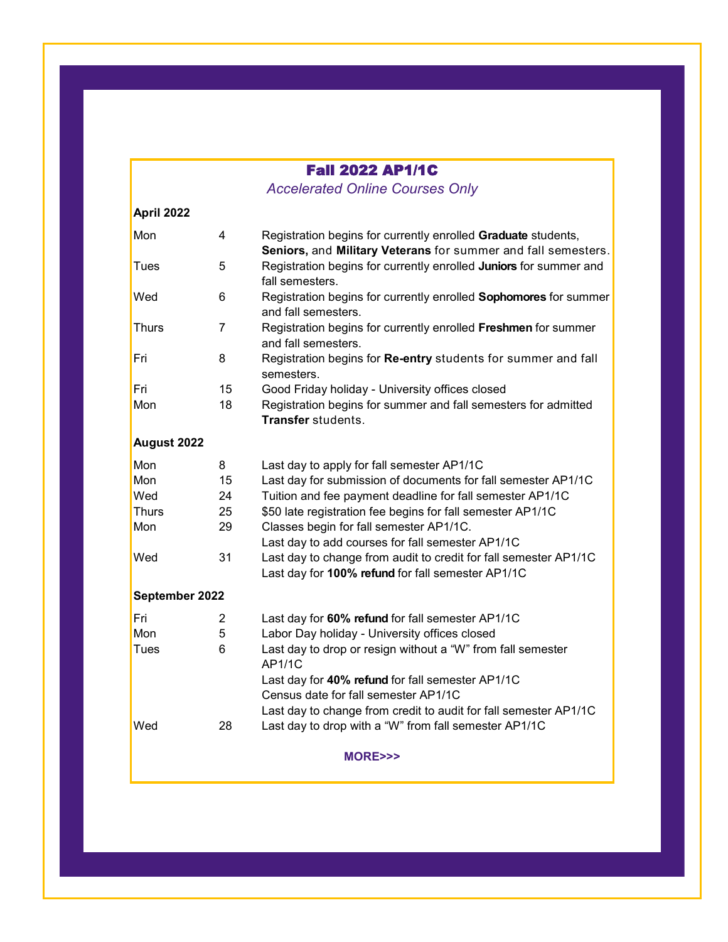## Fall 2022 AP1/1C

*Accelerated Online Courses Only* 

| April 2022     |                |                                                                                                                                |  |  |
|----------------|----------------|--------------------------------------------------------------------------------------------------------------------------------|--|--|
| Mon            | 4              | Registration begins for currently enrolled Graduate students,<br>Seniors, and Military Veterans for summer and fall semesters. |  |  |
| Tues           | 5              | Registration begins for currently enrolled Juniors for summer and<br>fall semesters.                                           |  |  |
| Wed            | 6              | Registration begins for currently enrolled Sophomores for summer<br>and fall semesters.                                        |  |  |
| Thurs          | $\overline{7}$ | Registration begins for currently enrolled Freshmen for summer<br>and fall semesters.                                          |  |  |
| Fri            | 8              | Registration begins for Re-entry students for summer and fall<br>semesters.                                                    |  |  |
| Fri            | 15             | Good Friday holiday - University offices closed                                                                                |  |  |
| Mon            | 18             | Registration begins for summer and fall semesters for admitted<br>Transfer students.                                           |  |  |
| August 2022    |                |                                                                                                                                |  |  |
| Mon            | 8              | Last day to apply for fall semester AP1/1C                                                                                     |  |  |
| Mon            | 15             | Last day for submission of documents for fall semester AP1/1C                                                                  |  |  |
| Wed            | 24             | Tuition and fee payment deadline for fall semester AP1/1C                                                                      |  |  |
| <b>Thurs</b>   | 25             | \$50 late registration fee begins for fall semester AP1/1C                                                                     |  |  |
| Mon            | 29             | Classes begin for fall semester AP1/1C.                                                                                        |  |  |
|                |                | Last day to add courses for fall semester AP1/1C                                                                               |  |  |
| Wed            | 31             | Last day to change from audit to credit for fall semester AP1/1C<br>Last day for 100% refund for fall semester AP1/1C          |  |  |
| September 2022 |                |                                                                                                                                |  |  |
| Fri            | 2              | Last day for 60% refund for fall semester AP1/1C                                                                               |  |  |
| Mon            | 5              | Labor Day holiday - University offices closed                                                                                  |  |  |
| <b>Tues</b>    | 6              | Last day to drop or resign without a "W" from fall semester<br>AP1/1C                                                          |  |  |
|                |                | Last day for 40% refund for fall semester AP1/1C<br>Census date for fall semester AP1/1C                                       |  |  |
|                |                | Last day to change from credit to audit for fall semester AP1/1C                                                               |  |  |
| Wed            | 28             | Last day to drop with a "W" from fall semester AP1/1C                                                                          |  |  |
| MORE>>>        |                |                                                                                                                                |  |  |